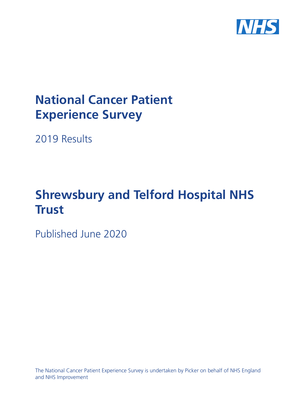

# **National Cancer Patient Experience Survey**

2019 Results

# **Shrewsbury and Telford Hospital NHS Trust**

Published June 2020

The National Cancer Patient Experience Survey is undertaken by Picker on behalf of NHS England and NHS Improvement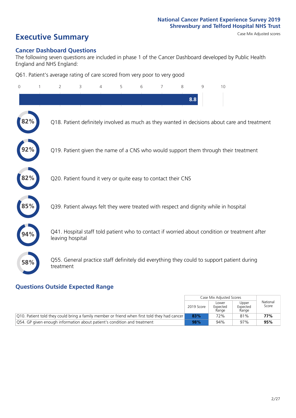# **Executive Summary** Case Mix Adjusted scores

#### **Cancer Dashboard Questions**

The following seven questions are included in phase 1 of the Cancer Dashboard developed by Public Health England and NHS England:

Q61. Patient's average rating of care scored from very poor to very good

| $\overline{0}$ | $\overline{2}$                                                | 3 | 4 | 5 | 6 | $\overline{7}$ | 8   | 9 | 10                                                                                            |
|----------------|---------------------------------------------------------------|---|---|---|---|----------------|-----|---|-----------------------------------------------------------------------------------------------|
|                |                                                               |   |   |   |   |                | 8.8 |   |                                                                                               |
| 2%             |                                                               |   |   |   |   |                |     |   | Q18. Patient definitely involved as much as they wanted in decisions about care and treatment |
|                |                                                               |   |   |   |   |                |     |   | Q19. Patient given the name of a CNS who would support them through their treatment           |
| 82%            | Q20. Patient found it very or quite easy to contact their CNS |   |   |   |   |                |     |   |                                                                                               |
| 85%            |                                                               |   |   |   |   |                |     |   | Q39. Patient always felt they were treated with respect and dignity while in hospital         |
|                | leaving hospital                                              |   |   |   |   |                |     |   | Q41. Hospital staff told patient who to contact if worried about condition or treatment after |
| 58%            | treatment                                                     |   |   |   |   |                |     |   | Q55. General practice staff definitely did everything they could to support patient during    |

### **Questions Outside Expected Range**

|                                                                                                  |            | Case Mix Adjusted Scores   |                            |                   |
|--------------------------------------------------------------------------------------------------|------------|----------------------------|----------------------------|-------------------|
|                                                                                                  | 2019 Score | Lower<br>Expected<br>Range | Upper<br>Expected<br>Range | National<br>Score |
| $ Q10$ . Patient told they could bring a family member or friend when first told they had cancer | 83%        | 72%                        | 81%                        | 77%               |
| Q54. GP given enough information about patient's condition and treatment                         | 98%        | 94%                        | 97%                        | 95%               |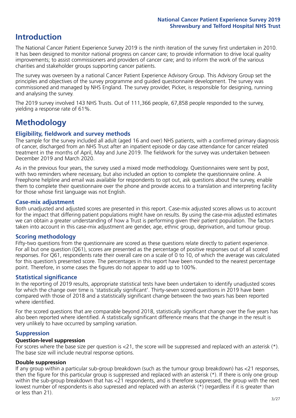## **Introduction**

The National Cancer Patient Experience Survey 2019 is the ninth iteration of the survey first undertaken in 2010. It has been designed to monitor national progress on cancer care; to provide information to drive local quality improvements; to assist commissioners and providers of cancer care; and to inform the work of the various charities and stakeholder groups supporting cancer patients.

The survey was overseen by a national Cancer Patient Experience Advisory Group. This Advisory Group set the principles and objectives of the survey programme and guided questionnaire development. The survey was commissioned and managed by NHS England. The survey provider, Picker, is responsible for designing, running and analysing the survey.

The 2019 survey involved 143 NHS Trusts. Out of 111,366 people, 67,858 people responded to the survey, yielding a response rate of 61%.

# **Methodology**

#### **Eligibility, eldwork and survey methods**

The sample for the survey included all adult (aged 16 and over) NHS patients, with a confirmed primary diagnosis of cancer, discharged from an NHS Trust after an inpatient episode or day case attendance for cancer related treatment in the months of April, May and June 2019. The fieldwork for the survey was undertaken between December 2019 and March 2020.

As in the previous four years, the survey used a mixed mode methodology. Questionnaires were sent by post, with two reminders where necessary, but also included an option to complete the questionnaire online. A Freephone helpline and email was available for respondents to opt out, ask questions about the survey, enable them to complete their questionnaire over the phone and provide access to a translation and interpreting facility for those whose first language was not English.

#### **Case-mix adjustment**

Both unadjusted and adjusted scores are presented in this report. Case-mix adjusted scores allows us to account for the impact that differing patient populations might have on results. By using the case-mix adjusted estimates we can obtain a greater understanding of how a Trust is performing given their patient population. The factors taken into account in this case-mix adjustment are gender, age, ethnic group, deprivation, and tumour group.

#### **Scoring methodology**

Fifty-two questions from the questionnaire are scored as these questions relate directly to patient experience. For all but one question (Q61), scores are presented as the percentage of positive responses out of all scored responses. For Q61, respondents rate their overall care on a scale of 0 to 10, of which the average was calculated for this question's presented score. The percentages in this report have been rounded to the nearest percentage point. Therefore, in some cases the figures do not appear to add up to 100%.

#### **Statistical significance**

In the reporting of 2019 results, appropriate statistical tests have been undertaken to identify unadjusted scores for which the change over time is 'statistically significant'. Thirty-seven scored questions in 2019 have been compared with those of 2018 and a statistically significant change between the two years has been reported where identified.

For the scored questions that are comparable beyond 2018, statistically significant change over the five years has also been reported where identified. A statistically significant difference means that the change in the result is very unlikely to have occurred by sampling variation.

#### **Suppression**

#### **Question-level suppression**

For scores where the base size per question is  $<$ 21, the score will be suppressed and replaced with an asterisk (\*). The base size will include neutral response options.

#### **Double suppression**

If any group within a particular sub-group breakdown (such as the tumour group breakdown) has <21 responses, then the figure for this particular group is suppressed and replaced with an asterisk (\*). If there is only one group within the sub-group breakdown that has <21 respondents, and is therefore suppressed, the group with the next lowest number of respondents is also supressed and replaced with an asterisk (\*) (regardless if it is greater than or less than 21).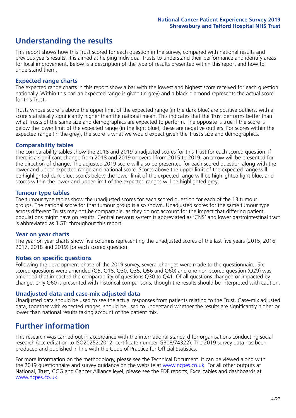# **Understanding the results**

This report shows how this Trust scored for each question in the survey, compared with national results and previous year's results. It is aimed at helping individual Trusts to understand their performance and identify areas for local improvement. Below is a description of the type of results presented within this report and how to understand them.

#### **Expected range charts**

The expected range charts in this report show a bar with the lowest and highest score received for each question nationally. Within this bar, an expected range is given (in grey) and a black diamond represents the actual score for this Trust.

Trusts whose score is above the upper limit of the expected range (in the dark blue) are positive outliers, with a score statistically significantly higher than the national mean. This indicates that the Trust performs better than what Trusts of the same size and demographics are expected to perform. The opposite is true if the score is below the lower limit of the expected range (in the light blue); these are negative outliers. For scores within the expected range (in the grey), the score is what we would expect given the Trust's size and demographics.

#### **Comparability tables**

The comparability tables show the 2018 and 2019 unadjusted scores for this Trust for each scored question. If there is a significant change from 2018 and 2019 or overall from 2015 to 2019, an arrow will be presented for the direction of change. The adjusted 2019 score will also be presented for each scored question along with the lower and upper expected range and national score. Scores above the upper limit of the expected range will be highlighted dark blue, scores below the lower limit of the expected range will be highlighted light blue, and scores within the lower and upper limit of the expected ranges will be highlighted grey.

#### **Tumour type tables**

The tumour type tables show the unadjusted scores for each scored question for each of the 13 tumour groups. The national score for that tumour group is also shown. Unadjusted scores for the same tumour type across different Trusts may not be comparable, as they do not account for the impact that differing patient populations might have on results. Central nervous system is abbreviated as 'CNS' and lower gastrointestinal tract is abbreviated as 'LGT' throughout this report.

#### **Year on year charts**

The year on year charts show five columns representing the unadjusted scores of the last five years (2015, 2016, 2017, 2018 and 2019) for each scored question.

#### **Notes on specific questions**

Following the development phase of the 2019 survey, several changes were made to the questionnaire. Six scored questions were amended (Q5, Q18, Q30, Q35, Q56 and Q60) and one non-scored question (Q29) was amended that impacted the comparability of questions Q30 to Q41. Of all questions changed or impacted by change, only Q60 is presented with historical comparisons; though the results should be interpreted with caution.

#### **Unadjusted data and case-mix adjusted data**

Unadjusted data should be used to see the actual responses from patients relating to the Trust. Case-mix adjusted data, together with expected ranges, should be used to understand whether the results are significantly higher or lower than national results taking account of the patient mix.

### **Further information**

This research was carried out in accordance with the international standard for organisations conducting social research (accreditation to ISO20252:2012; certificate number GB08/74322). The 2019 survey data has been produced and published in line with the Code of Practice for Official Statistics.

For more information on the methodology, please see the Technical Document. It can be viewed along with the 2019 questionnaire and survey quidance on the website at [www.ncpes.co.uk](https://www.ncpes.co.uk/supporting-documents). For all other outputs at National, Trust, CCG and Cancer Alliance level, please see the PDF reports, Excel tables and dashboards at [www.ncpes.co.uk.](https://www.ncpes.co.uk/current-results)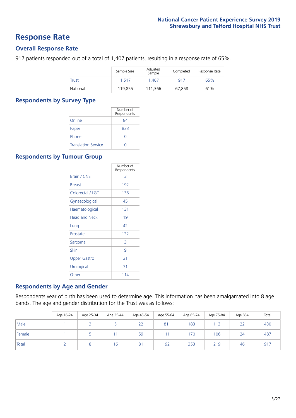### **Response Rate**

#### **Overall Response Rate**

917 patients responded out of a total of 1,407 patients, resulting in a response rate of 65%.

|              | Sample Size | Adjusted<br>Sample | Completed | Response Rate |
|--------------|-------------|--------------------|-----------|---------------|
| <b>Trust</b> | 1.517       | 1.407              | 917       | 65%           |
| National     | 119.855     | 111.366            | 67.858    | 61%           |

#### **Respondents by Survey Type**

|                            | Number of<br>Respondents |
|----------------------------|--------------------------|
| Online                     | 84                       |
| Paper                      | 833                      |
| Phone                      |                          |
| <b>Translation Service</b> |                          |

#### **Respondents by Tumour Group**

|                      | Number of<br>Respondents |
|----------------------|--------------------------|
| <b>Brain / CNS</b>   | 3                        |
| <b>Breast</b>        | 192                      |
| Colorectal / LGT     | 135                      |
| Gynaecological       | 45                       |
| Haematological       | 131                      |
| <b>Head and Neck</b> | 19                       |
| Lung                 | 42                       |
| Prostate             | 122                      |
| Sarcoma              | 3                        |
| Skin                 | 9                        |
| Upper Gastro         | 31                       |
| Urological           | 71                       |
| Other                | 114                      |

#### **Respondents by Age and Gender**

Respondents year of birth has been used to determine age. This information has been amalgamated into 8 age bands. The age and gender distribution for the Trust was as follows:

|        | Age 16-24 | Age 25-34 | Age 35-44 | Age 45-54 | Age 55-64 | Age 65-74 | Age 75-84 | Age 85+ | Total |
|--------|-----------|-----------|-----------|-----------|-----------|-----------|-----------|---------|-------|
| Male   |           |           |           | 22        | 81        | 183       | 113       | 22      | 430   |
| Female |           |           |           | 59        | 111       | 170       | 106       | 24      | 487   |
| Total  |           |           | 16        | 81        | 192       | 353       | 219       | 46      | 917   |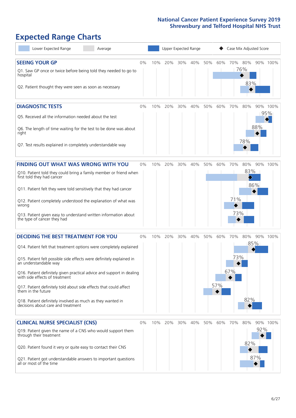# **Expected Range Charts**

| Lower Expected Range<br>Average                                                                                                                                                                                                                                                                                                                                                                                                                                                                                             |       |     | Upper Expected Range |     |     |     |            | Case Mix Adjusted Score |                 |            |                 |
|-----------------------------------------------------------------------------------------------------------------------------------------------------------------------------------------------------------------------------------------------------------------------------------------------------------------------------------------------------------------------------------------------------------------------------------------------------------------------------------------------------------------------------|-------|-----|----------------------|-----|-----|-----|------------|-------------------------|-----------------|------------|-----------------|
| <b>SEEING YOUR GP</b><br>Q1. Saw GP once or twice before being told they needed to go to<br>hospital<br>Q2. Patient thought they were seen as soon as necessary                                                                                                                                                                                                                                                                                                                                                             | 0%    | 10% | 20%                  | 30% | 40% | 50% | 60%        | 70% 80%                 | 76%<br>83%      |            | 90% 100%        |
| <b>DIAGNOSTIC TESTS</b><br>Q5. Received all the information needed about the test<br>Q6. The length of time waiting for the test to be done was about<br>right<br>Q7. Test results explained in completely understandable way                                                                                                                                                                                                                                                                                               | 0%    | 10% | 20%                  | 30% | 40% | 50% | 60%        | 70%                     | 80%<br>78%      | 88%        | 90% 100%<br>95% |
| <b>FINDING OUT WHAT WAS WRONG WITH YOU</b><br>Q10. Patient told they could bring a family member or friend when<br>first told they had cancer<br>Q11. Patient felt they were told sensitively that they had cancer<br>Q12. Patient completely understood the explanation of what was<br>wrong<br>Q13. Patient given easy to understand written information about<br>the type of cancer they had                                                                                                                             | 0%    | 10% | 20%                  | 30% | 40% | 50% | 60%        | 70%<br>71%<br>73%       | 80%<br>83%<br>▷ | 86%        | 90% 100%        |
| <b>DECIDING THE BEST TREATMENT FOR YOU</b><br>Q14. Patient felt that treatment options were completely explained<br>Q15. Patient felt possible side effects were definitely explained in<br>an understandable way<br>Q16. Patient definitely given practical advice and support in dealing<br>with side effects of treatment<br>Q17. Patient definitely told about side effects that could affect<br>them in the future<br>Q18. Patient definitely involved as much as they wanted in<br>decisions about care and treatment | 0%    | 10% | 20%                  | 30% | 40% | 50% | 60%<br>57% | 70%<br>73%<br>67%       | 80%<br>82%      | 85%        | 90% 100%        |
| <b>CLINICAL NURSE SPECIALIST (CNS)</b><br>Q19. Patient given the name of a CNS who would support them<br>through their treatment<br>Q20. Patient found it very or quite easy to contact their CNS<br>Q21. Patient got understandable answers to important questions<br>all or most of the time                                                                                                                                                                                                                              | $0\%$ | 10% | 20%                  | 30% | 40% | 50% | 60%        | 70%                     | 80%<br>82%      | 92%<br>87% | 90% 100%        |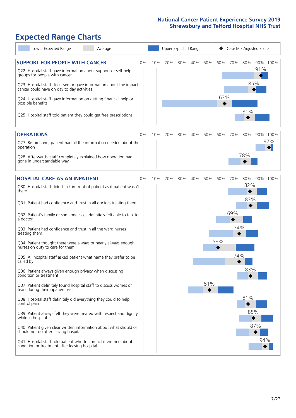# **Expected Range Charts**

| Lower Expected Range<br>Average                                                                                                                                                                                                                                                                                                    |    |     | Upper Expected Range |     |     |     |            | Case Mix Adjusted Score |            |            |                 |
|------------------------------------------------------------------------------------------------------------------------------------------------------------------------------------------------------------------------------------------------------------------------------------------------------------------------------------|----|-----|----------------------|-----|-----|-----|------------|-------------------------|------------|------------|-----------------|
| <b>SUPPORT FOR PEOPLE WITH CANCER</b><br>Q22. Hospital staff gave information about support or self-help<br>groups for people with cancer<br>Q23. Hospital staff discussed or gave information about the impact<br>cancer could have on day to day activities<br>Q24. Hospital staff gave information on getting financial help or | 0% | 10% | 20%                  | 30% | 40% | 50% | 60%<br>63% | 70%                     | 80%        | 91%<br>85% | 90% 100%        |
| possible benefits<br>Q25. Hospital staff told patient they could get free prescriptions                                                                                                                                                                                                                                            |    |     |                      |     |     |     |            |                         | 81%        |            |                 |
| <b>OPERATIONS</b><br>Q27. Beforehand, patient had all the information needed about the                                                                                                                                                                                                                                             | 0% | 10% | 20%                  | 30% | 40% | 50% | 60%        | 70%                     | 80%        |            | 90% 100%<br>97% |
| operation<br>Q28. Afterwards, staff completely explained how operation had<br>gone in understandable way                                                                                                                                                                                                                           |    |     |                      |     |     |     |            |                         | 78%        |            |                 |
| <b>HOSPITAL CARE AS AN INPATIENT</b>                                                                                                                                                                                                                                                                                               | 0% | 10% | 20%                  | 30% | 40% | 50% | 60%        | 70%                     | 80%        |            | 90% 100%        |
| Q30. Hospital staff didn't talk in front of patient as if patient wasn't<br>there<br>Q31. Patient had confidence and trust in all doctors treating them                                                                                                                                                                            |    |     |                      |     |     |     |            |                         | 82%<br>83% |            |                 |
| Q32. Patient's family or someone close definitely felt able to talk to<br>a doctor                                                                                                                                                                                                                                                 |    |     |                      |     |     |     |            | 69%                     |            |            |                 |
| Q33. Patient had confidence and trust in all the ward nurses<br>treating them                                                                                                                                                                                                                                                      |    |     |                      |     |     |     |            | 74%                     |            |            |                 |
| Q34. Patient thought there were always or nearly always enough<br>nurses on duty to care for them                                                                                                                                                                                                                                  |    |     |                      |     |     |     | 58%        |                         |            |            |                 |
| Q35. All hospital staff asked patient what name they prefer to be<br>called by                                                                                                                                                                                                                                                     |    |     |                      |     |     |     |            | 74%                     |            |            |                 |
| Q36. Patient always given enough privacy when discussing<br>condition or treatment                                                                                                                                                                                                                                                 |    |     |                      |     |     |     |            |                         | 83%        |            |                 |
| Q37. Patient definitely found hospital staff to discuss worries or<br>fears during their inpatient visit                                                                                                                                                                                                                           |    |     |                      |     |     | 51% |            |                         |            |            |                 |
| Q38. Hospital staff definitely did everything they could to help<br>control pain                                                                                                                                                                                                                                                   |    |     |                      |     |     |     |            |                         | 81%        |            |                 |
| Q39. Patient always felt they were treated with respect and dignity<br>while in hospital                                                                                                                                                                                                                                           |    |     |                      |     |     |     |            |                         | 85%        |            |                 |
| Q40. Patient given clear written information about what should or<br>should not do after leaving hospital                                                                                                                                                                                                                          |    |     |                      |     |     |     |            |                         |            | 87%        |                 |
| Q41. Hospital staff told patient who to contact if worried about<br>condition or treatment after leaving hospital                                                                                                                                                                                                                  |    |     |                      |     |     |     |            |                         |            | 94%        |                 |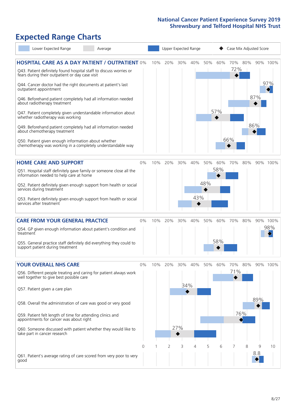# **Expected Range Charts**

| Lower Expected Range<br>Average                                                                                                                                                                                                                                                                                                                                                                                                                                                                                                                                                                                                                                                                        |       |     | Upper Expected Range |                   |            |            |            | Case Mix Adjusted Score |            |            |                 |
|--------------------------------------------------------------------------------------------------------------------------------------------------------------------------------------------------------------------------------------------------------------------------------------------------------------------------------------------------------------------------------------------------------------------------------------------------------------------------------------------------------------------------------------------------------------------------------------------------------------------------------------------------------------------------------------------------------|-------|-----|----------------------|-------------------|------------|------------|------------|-------------------------|------------|------------|-----------------|
| <b>HOSPITAL CARE AS A DAY PATIENT / OUTPATIENT 0%</b><br>Q43. Patient definitely found hospital staff to discuss worries or<br>fears during their outpatient or day case visit<br>Q44. Cancer doctor had the right documents at patient's last<br>outpatient appointment<br>Q46. Beforehand patient completely had all information needed<br>about radiotherapy treatment<br>Q47. Patient completely given understandable information about<br>whether radiotherapy was working<br>Q49. Beforehand patient completely had all information needed<br>about chemotherapy treatment<br>Q50. Patient given enough information about whether<br>chemotherapy was working in a completely understandable way |       | 10% | 20%                  | 30%               | 40%        | 50%        | 60%<br>57% | 70%<br>72%<br>66%       | 80%        | 87%<br>86% | 90% 100%<br>97% |
| <b>HOME CARE AND SUPPORT</b><br>Q51. Hospital staff definitely gave family or someone close all the<br>information needed to help care at home<br>Q52. Patient definitely given enough support from health or social<br>services during treatment<br>Q53. Patient definitely given enough support from health or social<br>services after treatment                                                                                                                                                                                                                                                                                                                                                    | 0%    | 10% | 20%                  | 30%               | 40%<br>43% | 50%<br>48% | 60%<br>58% | 70%                     | 80%        |            | 90% 100%        |
| <b>CARE FROM YOUR GENERAL PRACTICE</b><br>Q54. GP given enough information about patient's condition and<br>treatment<br>Q55. General practice staff definitely did everything they could to<br>support patient during treatment                                                                                                                                                                                                                                                                                                                                                                                                                                                                       | 0%    | 10% | 20%                  | 30%               | 40%        | 50%        | 60%<br>58% | 70%                     | 80%        |            | 90% 100%<br>98% |
| <b>YOUR OVERALL NHS CARE</b><br>Q56. Different people treating and caring for patient always work<br>well together to give best possible care<br>Q57. Patient given a care plan<br>Q58. Overall the administration of care was good or very good<br>Q59. Patient felt length of time for attending clinics and<br>appointments for cancer was about right<br>Q60. Someone discussed with patient whether they would like to<br>take part in cancer research                                                                                                                                                                                                                                            | $0\%$ | 10% | 20%                  | 30%<br>34%<br>27% | 40%        | 50%        | 60%        | 70%<br>71%              | 80%<br>76% | 89%        | 90% 100%        |
| Q61. Patient's average rating of care scored from very poor to very<br>good                                                                                                                                                                                                                                                                                                                                                                                                                                                                                                                                                                                                                            | 0     |     | 2                    | 3                 | 4          | 5          | 6          | 7                       | 8          | 9<br>8.8   | 10              |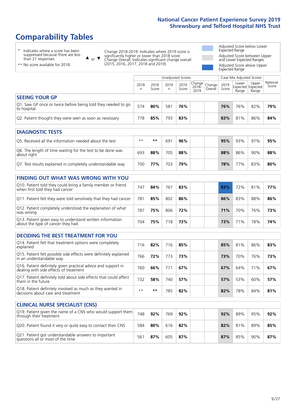# **Comparability Tables**

\* Indicates where a score has been suppressed because there are less than 21 responses.

\*\* No score available for 2018.

 $\triangle$  or  $\nabla$ 

Change 2018-2019: Indicates where 2019 score is significantly higher or lower than 2018 score Change Overall: Indicates significant change overall (2015, 2016, 2017, 2018 and 2019).

Adjusted Score below Lower Expected Range Adjusted Score between Upper and Lower Expected Ranges Adjusted Score above Upper Expected Range

|                                                                             | Case Mix Adjusted Scores<br>Unadjusted Scores |               |      |               |                                                |  |               |                                            |                |                   |
|-----------------------------------------------------------------------------|-----------------------------------------------|---------------|------|---------------|------------------------------------------------|--|---------------|--------------------------------------------|----------------|-------------------|
|                                                                             | 2018<br>n                                     | 2018<br>Score | 2019 | 2019<br>Score | Change<br>2018- Change<br>2010 Overall<br>2019 |  | 2019<br>Score | Lower<br><b>Expected Expected</b><br>Range | Upper<br>Range | National<br>Score |
| <b>SEEING YOUR GP</b>                                                       |                                               |               |      |               |                                                |  |               |                                            |                |                   |
| Q1. Saw GP once or twice before being told they needed to go<br>to hospital | 574                                           | 80%           | 581  | 76%           |                                                |  | 76%           | 76%                                        | 82%            | 79%               |
| Q2. Patient thought they were seen as soon as necessary                     | 778                                           | 85%           | 793  | 83%           |                                                |  | 83%           | 81%                                        | 86%            | 84%               |

| <b>DIAGNOSTIC TESTS</b>                                                   |       |     |     |     |  |     |     |     |     |
|---------------------------------------------------------------------------|-------|-----|-----|-----|--|-----|-----|-----|-----|
| Q5. Received all the information needed about the test                    | $***$ | **  | 69' | 96% |  | 95% | 93% | 97% | 95% |
| Q6. The length of time waiting for the test to be done was<br>about right | 693   | 88% | 705 | 88% |  | 88% | 86% | 90% | 88% |
| Q7. Test results explained in completely understandable way               | 700   | 77% | 703 | 79% |  | 78% | 77% | 83% | 80% |

| <b>FINDING OUT WHAT WAS WRONG WITH YOU</b>                                                      |     |     |     |     |            |                 |     |     |
|-------------------------------------------------------------------------------------------------|-----|-----|-----|-----|------------|-----------------|-----|-----|
| Q10. Patient told they could bring a family member or friend<br>when first told they had cancer | 747 | 84% | 767 | 83% | 83%        | 72%             | 81% | 77% |
| Q11. Patient felt they were told sensitively that they had cancer                               | 781 | 85% | 802 | 86% | 86%        | 83%             | 88% | 86% |
| Q12. Patient completely understood the explanation of what<br>was wrong                         | 787 | 75% | 806 | 72% | <b>71%</b> | 70%             | 76% | 73% |
| Q13. Patient given easy to understand written information<br>about the type of cancer they had  | 704 | 75% | 718 | 73% | 73%        | 71 <sub>%</sub> | 78% | 74% |

| <b>DECIDING THE BEST TREATMENT FOR YOU</b>                                                              |      |     |     |     |     |     |     |     |
|---------------------------------------------------------------------------------------------------------|------|-----|-----|-----|-----|-----|-----|-----|
| Q14. Patient felt that treatment options were completely<br>explained                                   | 716  | 82% | 716 | 85% | 85% | 81% | 86% | 83% |
| Q15. Patient felt possible side effects were definitely explained<br>in an understandable way           | 766  | 72% | 773 | 73% | 73% | 70% | 76% | 73% |
| Q16. Patient definitely given practical advice and support in<br>dealing with side effects of treatment | 760  | 66% | 771 | 67% | 67% | 64% | 71% | 67% |
| Q17. Patient definitely told about side effects that could affect<br>them in the future                 | 732  | 58% | 740 | 57% | 57% | 53% | 60% | 57% |
| Q18. Patient definitely involved as much as they wanted in<br>decisions about care and treatment        | $**$ | **  | 785 | 82% | 82% | 78% | 84% | 81% |

| <b>CLINICAL NURSE SPECIALIST (CNS)</b>                                                    |     |     |     |     |  |     |     |     |     |
|-------------------------------------------------------------------------------------------|-----|-----|-----|-----|--|-----|-----|-----|-----|
| [Q19. Patient given the name of a CNS who would support them<br>through their treatment   | 748 | 92% | 769 | 92% |  | 92% | 89% | 95% | 92% |
| Q20. Patient found it very or quite easy to contact their CNS                             | 584 | 80% | 616 | 82% |  | 82% | 81% | 89% | 85% |
| Q21. Patient got understandable answers to important<br>questions all or most of the time | 56  | 87% | 605 | 87% |  | 87% | 85% | 90% | 87% |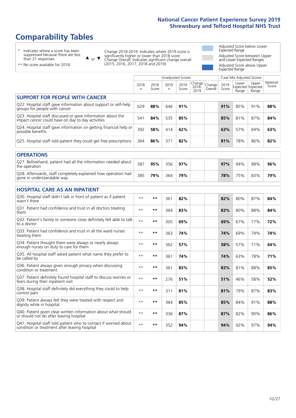# **Comparability Tables**

\* Indicates where a score has been suppressed because there are less than 21 responses.

\*\* No score available for 2018.

 $\triangle$  or  $\nabla$ 

Change 2018-2019: Indicates where 2019 score is significantly higher or lower than 2018 score Change Overall: Indicates significant change overall (2015, 2016, 2017, 2018 and 2019).

Adjusted Score below Lower Expected Range Adjusted Score between Upper and Lower Expected Ranges Adjusted Score above Upper Expected Range

|                                                                                                                   |           |               |           | <b>Unadjusted Scores</b> |                         |                   |               | Case Mix Adjusted Scores            |                |                   |
|-------------------------------------------------------------------------------------------------------------------|-----------|---------------|-----------|--------------------------|-------------------------|-------------------|---------------|-------------------------------------|----------------|-------------------|
|                                                                                                                   | 2018<br>n | 2018<br>Score | 2019<br>n | 2019<br>Score            | Change<br>2018-<br>2019 | Change<br>Overall | 2019<br>Score | Lower<br>Expected Expected<br>Range | Upper<br>Range | National<br>Score |
| <b>SUPPORT FOR PEOPLE WITH CANCER</b>                                                                             |           |               |           |                          |                         |                   |               |                                     |                |                   |
| Q22. Hospital staff gave information about support or self-help<br>groups for people with cancer                  | 629       | 88%           | 646       | 91%                      |                         |                   | 91%           | 85%                                 | 91%            | 88%               |
| Q23. Hospital staff discussed or gave information about the<br>impact cancer could have on day to day activities  | 541       | 84%           | 535       | 85%                      |                         |                   | 85%           | 81%                                 | 87%            | 84%               |
| Q24. Hospital staff gave information on getting financial help or<br>possible benefits                            | 392       | 58%           | 414       | 62%                      |                         |                   | 63%           | 57%                                 | 69%            | 63%               |
| Q25. Hospital staff told patient they could get free prescriptions                                                | 364       | 86%           | 371       | 82%                      |                         |                   | 81%           | 78%                                 | 86%            | 82%               |
| <b>OPERATIONS</b>                                                                                                 |           |               |           |                          |                         |                   |               |                                     |                |                   |
| Q27. Beforehand, patient had all the information needed about<br>the operation                                    | 387       | 95%           | 356       | 97%                      |                         |                   | 97%           | 94%                                 | 98%            | 96%               |
| Q28. Afterwards, staff completely explained how operation had<br>gone in understandable way                       | 385       | 79%           | 364       | 79%                      |                         |                   | 78%           | 75%                                 | 83%            | 79%               |
| <b>HOSPITAL CARE AS AN INPATIENT</b>                                                                              |           |               |           |                          |                         |                   |               |                                     |                |                   |
| Q30. Hospital staff didn't talk in front of patient as if patient<br>wasn't there                                 | $* *$     | $***$         | 361       | 82%                      |                         |                   | 82%           | 80%                                 | 87%            | 84%               |
| Q31. Patient had confidence and trust in all doctors treating<br>them                                             | $**$      | $***$         | 364       | 83%                      |                         |                   | 83%           | 80%                                 | 88%            | 84%               |
| Q32. Patient's family or someone close definitely felt able to talk<br>to a doctor                                | $* *$     | $***$         | 305       | 69%                      |                         |                   | 69%           | 67%                                 | 77%            | 72%               |
| O33. Patient had confidence and trust in all the ward nurses<br>treating them                                     | $**$      | $***$         | 363       | 74%                      |                         |                   | 74%           | 69%                                 | 79%            | 74%               |
| Q34. Patient thought there were always or nearly always<br>enough nurses on duty to care for them                 | $**$      | $***$         | 362       | 57%                      |                         |                   | 58%           | 57%                                 | 71%            | 64%               |
| Q35. All hospital staff asked patient what name they prefer to<br>be called by                                    | $* *$     | $***$         | 361       | 74%                      |                         |                   | 74%           | 63%                                 | 78%            | 71%               |
| Q36. Patient always given enough privacy when discussing<br>condition or treatment                                | $* *$     | $**$          | 361       | 83%                      |                         |                   | 83%           | 81%                                 | 88%            | 85%               |
| Q37. Patient definitely found hospital staff to discuss worries or<br>fears during their inpatient visit          | $* *$     | $***$         | 276       | 51%                      |                         |                   | 51%           | 46%                                 | 58%            | 52%               |
| Q38. Hospital staff definitely did everything they could to help<br>control pain                                  | $* *$     | $***$         | 311       | 81%                      |                         |                   | 81%           | 79%                                 | 87%            | 83%               |
| Q39. Patient always felt they were treated with respect and<br>dignity while in hospital                          | $* *$     | $***$         | 364       | 85%                      |                         |                   | 85%           | 84%                                 | 91%            | 88%               |
| Q40. Patient given clear written information about what should<br>or should not do after leaving hospital         | $* *$     | $***$         | 336       | 87%                      |                         |                   | 87%           | 82%                                 | 90%            | 86%               |
| Q41. Hospital staff told patient who to contact if worried about<br>condition or treatment after leaving hospital | $**$      | $***$         | 352       | 94%                      |                         |                   | 94%           | 92%                                 | 97%            | 94%               |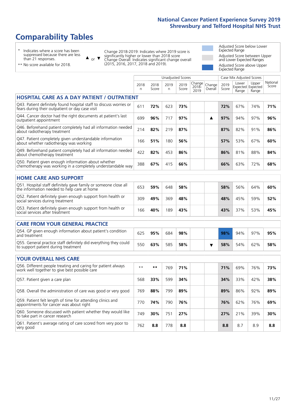# **Comparability Tables**

\* Indicates where a score has been suppressed because there are less than 21 responses.

\*\* No score available for 2018.

 $\triangle$  or  $\nabla$ 

Change 2018-2019: Indicates where 2019 score is significantly higher or lower than 2018 score Change Overall: Indicates significant change overall (2015, 2016, 2017, 2018 and 2019).

Adjusted Score below Lower Expected Range Adjusted Score between Upper and Lower Expected Ranges Adjusted Score above Upper Expected Range

|                                                                                                                       |           |               |           | <b>Unadjusted Scores</b> |                         |                   |               | Case Mix Adjusted Scores |                                     |                   |
|-----------------------------------------------------------------------------------------------------------------------|-----------|---------------|-----------|--------------------------|-------------------------|-------------------|---------------|--------------------------|-------------------------------------|-------------------|
|                                                                                                                       | 2018<br>n | 2018<br>Score | 2019<br>n | 2019<br>Score            | Change<br>2018-<br>2019 | Change<br>Overall | 2019<br>Score | Lower<br>Range           | Upper<br>Expected Expected<br>Range | National<br>Score |
| HOSPITAL CARE AS A DAY PATIENT / OUTPATIENT                                                                           |           |               |           |                          |                         |                   |               |                          |                                     |                   |
| Q43. Patient definitely found hospital staff to discuss worries or<br>fears during their outpatient or day case visit | 611       | 72%           | 623       | 73%                      |                         |                   | 72%           | 67%                      | 74%                                 | 71%               |
| Q44. Cancer doctor had the right documents at patient's last<br>outpatient appointment                                | 699       | 96%           | 717       | 97%                      |                         | ▲                 | 97%           | 94%                      | 97%                                 | 96%               |
| Q46. Beforehand patient completely had all information needed<br>about radiotherapy treatment                         | 214       | 82%           | 219       | 87%                      |                         |                   | 87%           | 82%                      | 91%                                 | 86%               |
| Q47. Patient completely given understandable information<br>about whether radiotherapy was working                    | 166       | 51%           | 180       | 56%                      |                         |                   | 57%           | 53%                      | 67%                                 | 60%               |
| Q49. Beforehand patient completely had all information needed<br>about chemotherapy treatment                         | 422       | 82%           | 453       | 86%                      |                         |                   | 86%           | 81%                      | 88%                                 | 84%               |
| Q50. Patient given enough information about whether<br>chemotherapy was working in a completely understandable way    | 388       | 67%           | 415       | 66%                      |                         |                   | 66%           | 63%                      | 72%                                 | 68%               |
| <b>HOME CARE AND SUPPORT</b>                                                                                          |           |               |           |                          |                         |                   |               |                          |                                     |                   |
| Q51. Hospital staff definitely gave family or someone close all<br>the information needed to help care at home        | 653       | 59%           | 648       | 58%                      |                         |                   | 58%           | 56%                      | 64%                                 | 60%               |
| Q52. Patient definitely given enough support from health or<br>social services during treatment                       | 309       | 49%           | 369       | 48%                      |                         |                   | 48%           | 45%                      | 59%                                 | 52%               |
| Q53. Patient definitely given enough support from health or<br>social services after treatment                        | 166       | 40%           | 189       | 43%                      |                         |                   | 43%           | 37%                      | 53%                                 | 45%               |
| <b>CARE FROM YOUR GENERAL PRACTICE</b>                                                                                |           |               |           |                          |                         |                   |               |                          |                                     |                   |
| Q54. GP given enough information about patient's condition<br>and treatment                                           | 625       | 95%           | 684       | 98%                      |                         |                   | 98%           | 94%                      | 97%                                 | 95%               |
| Q55. General practice staff definitely did everything they could<br>to support patient during treatment               | 550       | 63%           | 585       | 58%                      |                         | ▼                 | 58%           | 54%                      | 62%                                 | 58%               |
| <b>YOUR OVERALL NHS CARE</b>                                                                                          |           |               |           |                          |                         |                   |               |                          |                                     |                   |
| Q56. Different people treating and caring for patient always<br>work well together to give best possible care         | $* *$     | $***$         | 769       | 71%                      |                         |                   | 71%           | 69%                      | 76%                                 | 73%               |
| Q57. Patient given a care plan                                                                                        | 568       | 33%           | 599       | 34%                      |                         |                   | 34%           | 33%                      | 42%                                 | 38%               |
| Q58. Overall the administration of care was good or very good                                                         | 769       | 88%           | 799       | 89%                      |                         |                   | 89%           | 86%                      | 92%                                 | 89%               |
| Q59. Patient felt length of time for attending clinics and<br>appointments for cancer was about right                 | 770       | 74%           | 790       | 76%                      |                         |                   | 76%           | 62%                      | 76%                                 | 69%               |
| Q60. Someone discussed with patient whether they would like<br>to take part in cancer research                        | 749       | 30%           | 751       | 27%                      |                         |                   | 27%           | 21%                      | 39%                                 | 30%               |
| Q61. Patient's average rating of care scored from very poor to<br>very good                                           | 762       | 8.8           | 778       | 8.8                      |                         |                   | 8.8           | 8.7                      | 8.9                                 | 8.8               |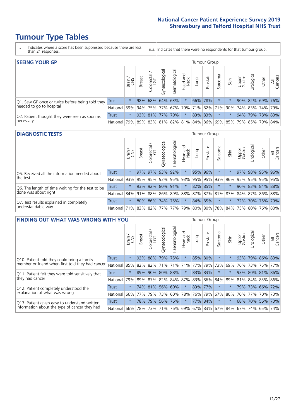# **Tumour Type Tables**

- \* Indicates where a score has been suppressed because there are less than 21 responses.
- n.a. Indicates that there were no respondents for that tumour group.

| <b>SEEING YOUR GP</b>                           |              |               |               |                   |                    |                |                  |      | Tumour Group |                                                 |      |                       |                       |       |                |
|-------------------------------------------------|--------------|---------------|---------------|-------------------|--------------------|----------------|------------------|------|--------------|-------------------------------------------------|------|-----------------------|-----------------------|-------|----------------|
|                                                 |              | Brain.<br>CNS | <b>Breast</b> | Colorectal<br>LGT | ᠊ᢛ<br>Gynaecologic | Haematological | Head and<br>Neck | Lung | Prostate     | Sarcoma                                         | Skin | Upper<br>Gastro       | $\sigma$<br>Jrologica | Other | All<br>Cancers |
| Q1. Saw GP once or twice before being told they | Trust        | $^\star$      |               | 98% 68% 64% 63%   |                    |                | $\star$          |      | 66% 78%      |                                                 |      |                       | 90% 82% 69% 76%       |       |                |
| needed to go to hospital                        | National 59% |               |               |                   |                    |                |                  |      |              | 94% 75% 77% 67% 79% 71% 82% 71% 90%             |      | 74%   83%   74%   79% |                       |       |                |
| Q2. Patient thought they were seen as soon as   | <b>Trust</b> | $\star$       |               | 93% 81% 77% 79%   |                    |                | $\star$          |      | 83% 83%      | $\star$                                         |      |                       | 94% 79% 78% 83%       |       |                |
| necessary                                       | National I   | 79%           |               |                   |                    |                |                  |      |              | 89% 83% 81% 82% 81% 84% 86% 69% 85% 79% 85% 79% |      |                       |                       |       | 84%            |

#### **DIAGNOSTIC TESTS** Tumour Group

|                                                   |                                                                  | Brain<br>CNS | <b>Breast</b> | Colorectal<br>LGT | Gynaecological | Haematological | Head and<br>Neck    | Lung | Prostate | Sarcoma  | Skin | Upper<br>Gastro | Jrological      | Other | All<br>Cancers |
|---------------------------------------------------|------------------------------------------------------------------|--------------|---------------|-------------------|----------------|----------------|---------------------|------|----------|----------|------|-----------------|-----------------|-------|----------------|
| Q5. Received all the information needed about     | <b>Trust</b>                                                     | $\star$      |               | 97% 97%           | 93%            | 92%            | $\star$             |      | 95% 96%  |          |      | 97%             | 98% 95% 96%     |       |                |
| the test                                          | National                                                         | 93%          | 95%           | 95%               |                |                | 93% 95% 93% 95% 95% |      |          | 93%      | 96%  | 95%             | 95% 95% 95%     |       |                |
| Q6. The length of time waiting for the test to be | Trust                                                            | $\star$      |               | 93% 92%           | 80%            | 91%            | $\star$             |      | 82% 85%  |          |      |                 | 90% 83% 84% 88% |       |                |
| done was about right                              | National 84% 91% 88% 86% 89% 88% 87% 87% 81% 87% 84% 87% 86% 88% |              |               |                   |                |                |                     |      |          |          |      |                 |                 |       |                |
| Q7. Test results explained in completely          | Trust                                                            | $\star$      |               | 80% 86%           | 74% 75%        |                | $\star$             |      | 84% 85%  | $^\star$ |      |                 | 72% 70% 75% 79% |       |                |
| understandable way                                | National 71% 83% 82% 77% 77% 79% 80% 80% 78% 84% 75% 80% 76% 80% |              |               |                   |                |                |                     |      |          |          |      |                 |                 |       |                |

| <b>FINDING OUT WHAT WAS WRONG WITH YOU</b>        |              |         |               |                       |                |               |                         |                 | Tumour Group |         |         |                 |             |         |                |
|---------------------------------------------------|--------------|---------|---------------|-----------------------|----------------|---------------|-------------------------|-----------------|--------------|---------|---------|-----------------|-------------|---------|----------------|
|                                                   |              | Brain   | <b>Breast</b> | olorectal<br>LGT<br>Û | Gynaecological | Haematologica | aad and<br>Neck<br>Head | Lung            | Prostate     | Sarcoma | Skin    | Upper<br>Gastro | Urological  | Other   | All<br>Cancers |
| Q10. Patient told they could bring a family       | <b>Trust</b> | $\star$ | 92%           | 88%                   | 79%            | 75%           | $\ast$                  | 85% 80%         |              | $\star$ |         | 93%             | 79%         | 86% 83% |                |
| member or friend when first told they had cancer  | National     | 85%     | 82%           | 82%                   | 71%            | 71%           | 71%                     | 77%             | 79%          | 73%     | 69%     | 76%             | 73%         |         | 75% 77%        |
| Q11. Patient felt they were told sensitively that | Trust        | $\star$ | 89%           | 90%                   | 80%            | 88%           | $\ast$                  | 83% 83%         |              | $\ast$  |         | 93%             | 80%         | 81% 86% |                |
| they had cancer                                   | National     | 79%     |               | 89% 87%               | 82%            | 84% 87%       |                         | 83% 86% 84%     |              |         | 89%     | 81%             | 84% 83% 86% |         |                |
| Q12. Patient completely understood the            | Trust        | $\star$ |               | 74% 81%               | 56%            | 60%           | $\star$                 | 83% 77%         |              | $\star$ |         | 79%             | 73% 66% 72% |         |                |
| explanation of what was wrong                     | National     | 66%     | 77%           | 79%                   | 73%            | 60%           | 78%                     | 76% 79%         |              | 67%     | 80%     | 70%             | 77%         |         | 70% 73%        |
| Q13. Patient given easy to understand written     | Trust        | $\star$ | 78%           | 79%                   | 56%            | 76%           | $\ast$                  | 77% 84%         |              | $\ast$  | $\star$ | 68%             | 70%         |         | 56% 73%        |
| information about the type of cancer they had     | National     | 66%     | 78%           | 73%                   | 71%            | 76%           |                         | 69% 67% 83% 67% |              |         | 84%     | 67%             | 74%         | 65%     | 74%            |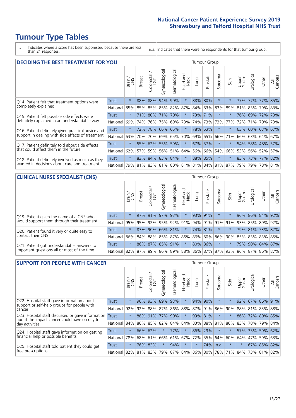# **Tumour Type Tables**

\* Indicates where a score has been suppressed because there are less than 21 responses.

n.a. Indicates that there were no respondents for that tumour group.

| <b>DECIDING THE BEST TREATMENT FOR YOU</b>         |              |         |               |                       |                 |                |                        |      | <b>Tumour Group</b> |                                     |         |                 |                 |             |                |
|----------------------------------------------------|--------------|---------|---------------|-----------------------|-----------------|----------------|------------------------|------|---------------------|-------------------------------------|---------|-----------------|-----------------|-------------|----------------|
|                                                    |              | Brain   | <b>Breast</b> | olorectal<br>LGT<br>Ũ | Gynaecological  | Haematological | ad and<br>Neck<br>Head | Lung | Prostate            | Sarcoma                             | Skin    | Upper<br>Gastro | Jrological      | Other       | All<br>Cancers |
| Q14. Patient felt that treatment options were      | <b>Trust</b> | $\star$ | 88%           | 88%                   | 94%             | 90%            | $\star$                | 88%  | 80%                 | $\star$                             |         | 77%             | 77%             | 77%         | 85%            |
| completely explained                               | National     | 85%     | 85%           | 85%                   | 85% 82%         |                | 87%                    |      | 84% 83%             | 83%                                 | 89%     | 81%             | 83% 79% 83%     |             |                |
| Q15. Patient felt possible side effects were       | Trust        | $\star$ | 71%           | 80%                   | 71%             | 170%           | $\star$                |      | 73% 71%             | $^\star$                            |         | 76%             | 69% 72% 73%     |             |                |
| definitely explained in an understandable way      | National     | 69%     | 74%           | 76%                   |                 | 75% 69%        | 73%                    |      | 74% 73%             | 73%                                 | 77%     | 72%             | 71%             | 70% 73%     |                |
| Q16. Patient definitely given practical advice and | Trust        | $\star$ | 72%           | 78%                   |                 | 66% 65%        | $\star$                |      | 78% 53%             | $\star$                             |         |                 | 63% 60% 63% 67% |             |                |
| support in dealing with side effects of treatment  | National     | 63%     | 70%           | 70%                   |                 | 69% 65%        | 70%                    |      | 69% 65%             | 66%                                 | 71%     | 66%             |                 | 63% 64% 67% |                |
| Q17. Patient definitely told about side effects    | Trust        | $\star$ | 55%           |                       | 62% 55% 59%     |                | $\star$                |      | 67% 57%             | $\star$                             | $\star$ | 54%             |                 | 58% 48% 57% |                |
| that could affect them in the future               | National     | 62%     | 57%           | 59%                   |                 | 56% 51%        | 64%                    |      | 56% 66%             | 54%                                 | 66%     | 53%             |                 | 56% 52%     | 57%            |
| Q18. Patient definitely involved as much as they   | Trust        | $\star$ |               |                       | 83% 84% 83% 84% |                | $\star$                |      | 88% 85%             | $\star$                             | $\star$ |                 | 83% 73% 77% 82% |             |                |
| wanted in decisions about care and treatment       | National     | 79%     |               |                       |                 |                |                        |      |                     | 81% 83% 81% 80% 81% 81% 84% 81% 87% |         | 79%             |                 | 79% 78% 81% |                |

#### **CLINICAL NURSE SPECIALIST (CNS)** Tumour Group

|                                             |          | Brain   | <b>Breast</b>           | olorectal<br>LGT<br>$\cup$ | aecologica<br>Ğ | $\overline{\sigma}$<br>O<br>aematologi | Head and<br>Neck | Lung    | Prostate | Sarcoma | Skin    | Upper<br>Gastro                             | $\sigma$<br>rologica | Other                                               | All<br>ancers<br>$\cup$ |
|---------------------------------------------|----------|---------|-------------------------|----------------------------|-----------------|----------------------------------------|------------------|---------|----------|---------|---------|---------------------------------------------|----------------------|-----------------------------------------------------|-------------------------|
| Q19. Patient given the name of a CNS who    | Trust    | $\star$ |                         | 97% 91%                    | 97%             | 93%                                    | $\star$          | 93% 91% |          | $\ast$  |         | 96%                                         |                      | 86% 84% 92%                                         |                         |
| would support them through their treatment  | National |         | 95% 95% 92% 95% 92% 91% |                            |                 |                                        |                  |         |          |         |         |                                             |                      | 94% 91% 91% 91% 93% 85% 89%                         | 92%                     |
| Q20. Patient found it very or quite easy to | Trust    | $\star$ |                         |                            | 87% 90% 66% 81% |                                        | $\star$          |         | 74% 81%  | $\ast$  | $\star$ |                                             |                      | 79% 81% 73% 82%                                     |                         |
| contact their CNS                           | National |         |                         |                            |                 |                                        |                  |         |          |         |         | 86% 84% 88% 85% 87% 86% 86% 80% 86% 90% 85% |                      | 83% 83%                                             | 85%                     |
| Q21. Patient got understandable answers to  | Trust    | $\star$ |                         | 86% 87%                    | 85%             | 91%                                    | $\star$          | 80% 86% |          | $\ast$  |         |                                             |                      | 79% 90% 84% 87%                                     |                         |
| important questions all or most of the time | National |         | 82% 87% 89% 86%         |                            |                 |                                        |                  |         |          |         |         |                                             |                      | 89%   88%   86%   87%   87%   93%   86%   87%   86% | 87%                     |

| <b>SUPPORT FOR PEOPLE WITH CANCER</b>                                                             |          |         |               |            |                |                |                        |         | <b>Tumour Group</b> |                      |         |                 |            |             |                |
|---------------------------------------------------------------------------------------------------|----------|---------|---------------|------------|----------------|----------------|------------------------|---------|---------------------|----------------------|---------|-----------------|------------|-------------|----------------|
|                                                                                                   |          | Brain   | <b>Breast</b> | Colorectal | Gynaecological | Haematological | ad and<br>Neck<br>Head | Lung    | Prostate            | arcoma<br>$\sqrt{ }$ | Skin    | Upper<br>Gastro | Jrological | Other       | All<br>Cancers |
| Q22. Hospital staff gave information about<br>support or self-help groups for people with         | Trust    | $\star$ | 96%           | 93%        | 89%            | 93%            | $\star$                | 94%     | 90%                 | $\star$              |         | 92%             |            | 67% 86%     | 91%            |
| cancer                                                                                            | National | 92%     | 92%           | 88%        | 87%            | 86%            | 88%                    |         | 87% 91%             | 86%                  | 90%     | 88%             |            | 81% 83% 88% |                |
| Q23. Hospital staff discussed or gave information<br>about the impact cancer could have on day to | Trust    | $\star$ | 88%           | 91%        | 77%            | 90%            | $\star$                |         | 93% 81%             | $\star$              |         | 86%             | 72%        | 80%         | 85%            |
| day activities                                                                                    | National | 84%     |               | 86% 85%    | 82%            | 84%            | 84%                    |         | 83% 88%             | 81%                  | 86%     | 83%             |            | 78% 79%     | 84%            |
| Q24. Hospital staff gave information on getting                                                   | Trust    | $\star$ |               | 66% 62%    | $\star$        | 77%            | $\star$                |         | 86% 29%             | $\star$              | $\star$ | 57%             |            | 33% 59% 62% |                |
| financial help or possible benefits                                                               | National | 78%     | 68%           | 61%        | 66%            | 61%            | 67%                    |         | 72% 55%             | 64%                  | 60%     | 64%             | 47%        | 59%         | 63%            |
| Q25. Hospital staff told patient they could get                                                   | Trust    | $\star$ |               | 76% 83%    | $\star$        | 94%            | $\star$                | $\star$ | 74%                 | n.a.                 |         | $\star$         |            | 67% 85%     | 82%            |
| free prescriptions                                                                                | National | 82%     |               | 81% 83%    | 79%            |                |                        |         | 87% 84% 86% 80%     | 78%                  |         | 71% 84%         |            | 73% 81%     | 82%            |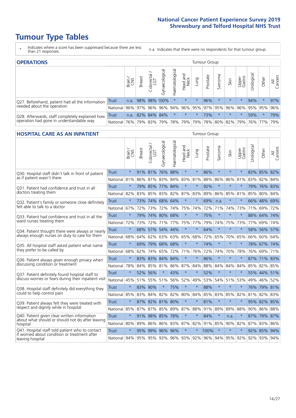# **Tumour Type Tables**

- \* Indicates where a score has been suppressed because there are less than 21 responses.
- n.a. Indicates that there were no respondents for that tumour group.

| <b>OPERATIONS</b>                                |              |       |               |                       |                        |                |                        |             | Tumour Group |         |         |                 |                                         |         |                |
|--------------------------------------------------|--------------|-------|---------------|-----------------------|------------------------|----------------|------------------------|-------------|--------------|---------|---------|-----------------|-----------------------------------------|---------|----------------|
|                                                  |              | Brain | <b>Breast</b> | olorectal<br>LGT<br>Ü | ᠊ᢛ<br>haecologic<br>δř | Haematological | ad and<br>Neck<br>Head | <b>Dung</b> | Prostate     | Sarcoma | Skin    | Upper<br>Gastro | –<br>Urological                         | Other   | All<br>Cancers |
| Q27. Beforehand, patient had all the information | Trust        | n.a.  |               |                       | 98% 98% 100%           | $\star$        | $\star$                | $\star$     | 96%          | $\star$ | $\star$ | $\star$         | 94%                                     | $\star$ | 97%            |
| needed about the operation                       | National     | 96%   |               | 97% 96%               |                        |                |                        |             |              |         |         |                 | 96% 94% 96% 95% 97% 95% 96% 96% 95% 95% |         | 96%            |
| Q28. Afterwards, staff completely explained how  | <b>Trust</b> | n.a.  |               | 82% 84% 84%           |                        | $^\star$       | $\star$                | $\star$     | 73%          |         | $\star$ |                 | 59%                                     | $\ast$  | 79%            |
| operation had gone in understandable way         | National     | 76%   |               | 79% 83%               |                        |                | 79%   78%   79%        |             |              |         |         |                 | 79% 78% 80% 82% 79% 76% 77%             |         | 79%            |

#### **HOSPITAL CARE AS AN INPATIENT** Tumour Group

|                                                                                                  |              | Brain   | <b>Breast</b> | $\frac{\text{Coloretal}}{\text{LGT}}$ | Gynaecological | Haematological          | Head and<br>Neck | Lung    | Prostate | Sarcoma | Skin            | Upper<br>Gastro | Urological | Other       | Cancers<br>$\overline{\overline{z}}$ |
|--------------------------------------------------------------------------------------------------|--------------|---------|---------------|---------------------------------------|----------------|-------------------------|------------------|---------|----------|---------|-----------------|-----------------|------------|-------------|--------------------------------------|
| Q30. Hospital staff didn't talk in front of patient                                              | Trust        | $\star$ | 91%           | 81%                                   | 76%            | 88%                     | $\star$          | $\star$ | 86%      | $\star$ | $\star$         | $\star$         |            | 83% 85% 82% |                                      |
| as if patient wasn't there                                                                       | National     | 81%     | 86%           | 81%                                   | 83%            | 84%                     | 83%              | 81%     | 88%      | 86%     | 86%             | 81%             | 83%        | 82%         | 84%                                  |
| 031. Patient had confidence and trust in all                                                     | Trust        | $\star$ |               | 79% 85%                               | 77% 84%        |                         | $\star$          | $\star$ | 92%      | $\star$ | $\star$         |                 |            | 79% 76% 83% |                                      |
| doctors treating them                                                                            | National     | 82%     | 83%           | 85%                                   |                | 83% 82%                 | 87% 83%          |         | 89%      | 86%     | 85%             | 81%             | 85%        | 80%         | 84%                                  |
| Q32. Patient's family or someone close definitely                                                | Trust        | $\star$ | 73%           | 74%                                   | 68%            | 64%                     | $\star$          | $\star$ | 69%      | n.a.    | $\ast$          | $\star$         |            | 66% 48% 69% |                                      |
| felt able to talk to a doctor                                                                    | National     | 67%     | 72%           | 73%                                   | 72%            | 74%                     |                  | 75% 74% | 72%      | 71%     | 74%             | 73%             | 71%        | 69% 72%     |                                      |
| O33. Patient had confidence and trust in all the                                                 | <b>Trust</b> | $\star$ |               | 79% 74% 80% 68%                       |                |                         | $\star$          | $\star$ | 75%      | $\star$ | $\star$         | $\star$         |            | 88% 64% 74% |                                      |
| ward nurses treating them                                                                        | National     | 72%     | 73%           | 72%                                   |                | 71% 77% 75% 77%         |                  |         | 79%      | 74%     | 75%             | 73%             |            | 77% 69% 74% |                                      |
| Q34. Patient thought there were always or nearly                                                 | <b>Trust</b> | $\star$ | 68%           | 57%                                   | 54%            | 44%                     | $\star$          | $\star$ | 64%      | $\star$ | $\star$         | $\star$         | 58%        | 56%         | 57%                                  |
| always enough nurses on duty to care for them                                                    | National     | 68%     | 64%           | 62%                                   | 63%            | 63%                     | 65%              | 68%     | 72%      | 65%     | 70%             | 65%             | 66%        | 60% 64%     |                                      |
| Q35. All hospital staff asked patient what name                                                  | Trust        | $\star$ |               | 69% 79%                               | 68% 68%        |                         | $\star$          | $\star$ | 74%      | $\star$ | $\star$         |                 |            | 78% 67% 74% |                                      |
| they prefer to be called by                                                                      | National     | 68%     | 62%           | 74%                                   | 65%            | 72%                     |                  | 71% 76% | 72%      | 74%     | 70%             | 78%             | 76%        | 69%         | 71%                                  |
| Q36. Patient always given enough privacy when                                                    | Trust        | $\star$ | 83%           | 83% 84%                               |                | 84%                     | $\star$          | $\star$ | 86%      | $\star$ | $\star$         | $\star$         |            | 87% 71% 83% |                                      |
| discussing condition or treatment                                                                | National     | 78%     | 84%           | 85% 81%                               |                |                         | 86% 87% 84%      |         | 88%      | 84%     | 84%             | 84%             | 85%        | 82% 85%     |                                      |
| Q37. Patient definitely found hospital staff to                                                  | <b>Trust</b> | $\star$ | 52%           | 56%                                   | $\star$        | 43%                     | $\star$          | $\star$ | 52%      | $\star$ | $\star$         | $\star$         |            | 55% 44%     | 51%                                  |
| discuss worries or fears during their inpatient visit                                            | National     | 45%     |               | 51% 55% 51%                           |                |                         | 56% 52%          | 49%     | 53%      | 54%     | 51%             | 53%             |            | 49% 46% 52% |                                      |
| Q38. Hospital staff definitely did everything they                                               | <b>Trust</b> | $\star$ | 83% 90%       |                                       | $\star$        | 75%                     | $\star$          | $\star$ | 88%      | $\star$ | $\star$         | $\star$         |            | 76% 79% 81% |                                      |
| could to help control pain                                                                       | National     | 85%     | 83%           | 84%                                   | 82%            | 82%                     | 80%              | 84%     | 85%      | 83%     | 85%             | 82%             | 81%        | 82%         | 83%                                  |
| Q39. Patient always felt they were treated with                                                  | Trust        | $\star$ | 87%           |                                       | 92% 81% 80%    |                         | $\star$          | $\star$ | 81%      | $\star$ | $\star$         |                 |            | 95% 82% 85% |                                      |
| respect and dignity while in hospital                                                            | National     | 85%     |               | 87% 87% 85%                           |                | 89% 87% 88%             |                  |         | 91%      | 89%     | 89%             | 88%             |            | 90% 86% 88% |                                      |
| Q40. Patient given clear written information<br>about what should or should not do after leaving | <b>Trust</b> | $\star$ | 91%           | 98% 85%                               |                | 78%                     | $\star$          | $\star$ | 84%      | $\star$ | n.a.            | $\star$         |            | 87% 79% 87% |                                      |
| hospital                                                                                         | National     | 80%     | 89%           | 86%                                   |                | 86% 83%                 |                  | 87% 82% |          | 91% 85% |                 | 90% 82%         |            | 87% 83%     | 86%                                  |
| Q41. Hospital staff told patient who to contact<br>if worried about condition or treatment after | Trust        | $\star$ | 95%           |                                       | 99% 96% 96%    |                         | $\star$          | $\star$ | 100%     | $\star$ | $\star$         | $\star$         |            | 92% 85%     | 94%                                  |
| leaving hospital                                                                                 | National     | 94%     |               |                                       |                | 95% 95% 93% 96% 93% 92% |                  |         |          |         | 96% 94% 95% 92% |                 | 92%        | 93% 94%     |                                      |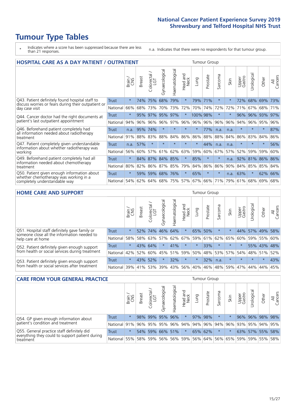# **Tumour Type Tables**

- \* Indicates where a score has been suppressed because there are less than 21 responses.
- n.a. Indicates that there were no respondents for that tumour group.

| <b>HOSPITAL CARE AS A DAY PATIENT / OUTPATIENT</b>                                                                    |              |         |               |                                     |                |                |                        |          | <b>Tumour Group</b> |                          |      |                 |            |         |                |  |  |  |  |  |  |  |  |
|-----------------------------------------------------------------------------------------------------------------------|--------------|---------|---------------|-------------------------------------|----------------|----------------|------------------------|----------|---------------------|--------------------------|------|-----------------|------------|---------|----------------|--|--|--|--|--|--|--|--|
|                                                                                                                       |              | Brain   | <b>Breast</b> | $\frac{\text{Colored}}{\text{LGT}}$ | Gynaecological | Haematological | ad and<br>Neck<br>Head | Lung     | Prostate            | arcoma<br>$\overline{ }$ | Skin | Upper<br>Gastro | Jrological | Other   | All<br>Cancers |  |  |  |  |  |  |  |  |
| Q43. Patient definitely found hospital staff to                                                                       | <b>Trust</b> | $\star$ | 74%           | 75%                                 | 68%            | 79%            | $\star$                | 79%      | 71%                 | $\star$                  |      | 72%             | 68%        | 69%     | 73%            |  |  |  |  |  |  |  |  |
| discuss worries or fears during their outpatient or<br>day case visit                                                 | National     | 66%     | 68%           | 73%                                 | 70%            | 73%            | 72%                    | 70%      | 74%                 | 72%                      | 72%  | 71%             | 67%        | 68%     | 71%            |  |  |  |  |  |  |  |  |
| Q44. Cancer doctor had the right documents at<br>patient's last outpatient appointment                                | Trust        | $\star$ | 95%           | 97%                                 | 95%            | 97%            | $\star$                | 100% 98% |                     | $\ast$                   |      | 96%             | 96%        | 93%     | 97%            |  |  |  |  |  |  |  |  |
|                                                                                                                       | National     | 94%     | 96%           | 96%                                 | 96%            | 97%            | 96%                    | $ 96\% $ | 96%                 | 96%                      | 96%  | 94%             | 96%        | 95%     | 96%            |  |  |  |  |  |  |  |  |
| Q46. Beforehand patient completely had<br>all information needed about radiotherapy<br>treatment                      | <b>Trust</b> | n.a.    | 95%           | 74%                                 | $\star$        |                | $\star$                | $\star$  | 77%                 | n.a.                     | n.a. | $\star$         | $\star$    | $\ast$  | 87%            |  |  |  |  |  |  |  |  |
|                                                                                                                       | National     | 91%     | 88%           | 83%                                 | 88%            | 84%            | 86%                    | 86%      | 88%                 | 88%                      | 84%  | 86%             | 83%        | 84%     | 86%            |  |  |  |  |  |  |  |  |
| Q47. Patient completely given understandable                                                                          | Trust        | n.a.    | 57%           | $\star$                             |                |                | $\star$                | $\star$  | 44%                 | n.a.                     | n.a. | $\star$         | $\star$    | $\star$ | 56%            |  |  |  |  |  |  |  |  |
| information about whether radiotherapy was<br>working                                                                 | National     | 56%     | 60%           | 57%                                 | 61%            | 62%            | 63%                    | 59%      | 60%                 | 67%                      | 57%  | 52%             | 59%        | 59%     | 60%            |  |  |  |  |  |  |  |  |
| Q49. Beforehand patient completely had all                                                                            | Trust        | $\star$ |               | 84% 87% 84%                         |                | 85%            | $\star$                | 85%      | $\star$             | $\star$                  | n.a. | 92%             | 81%        | 86% 86% |                |  |  |  |  |  |  |  |  |
| information needed about chemotherapy<br>treatment                                                                    | National     | 80%     | 82%           | 86%                                 | 87%            | 85%            | 79%                    | 84%      | 86%                 | 86%                      | 90%  | 84%             | 85%        | 85%     | 84%            |  |  |  |  |  |  |  |  |
| Q50. Patient given enough information about<br>whether chemotherapy was working in a<br>completely understandable way | Trust        | $\star$ | 59%           | 59%                                 | 68%            | 76%            | $\star$                | 65%      | $\star$             | $\star$                  | n.a. | 63%             | $\star$    | 62%     | 66%            |  |  |  |  |  |  |  |  |
|                                                                                                                       | National     | 54%     | 62%           | 64% 68%                             |                | 75%            |                        | 57% 67%  | 66%                 | 71%                      | 79%  | 61%             | 68%        | 69%     | 68%            |  |  |  |  |  |  |  |  |

#### **HOME CARE AND SUPPORT** Tumour Group

|                                                                                                                   |              | Brain   | <b>Breast</b> | Colorectal<br>LGT | Gynaecological | Haematological | Head and<br>Neck | Lung    | Prostate | Sarcoma | Skin    | Upper<br>Gastro | Urological | Other       | All<br>Cancers |
|-------------------------------------------------------------------------------------------------------------------|--------------|---------|---------------|-------------------|----------------|----------------|------------------|---------|----------|---------|---------|-----------------|------------|-------------|----------------|
| Q51. Hospital staff definitely gave family or<br>someone close all the information needed to<br>help care at home | <b>Trust</b> | $\star$ | 52%           | 74%               | 46% 64%        |                | $\star$          | 65%     | 50%      | $\ast$  |         | 44%             |            | 57% 49%     | 58%            |
|                                                                                                                   | National     | 58%     |               | 58% 63%           | 57%            | 62%            |                  | 67% 59% | 61%      |         | 62% 65% | 60%             |            | 59% 55%     | 60%            |
| Q52. Patient definitely given enough support<br>from health or social services during treatment                   | Trust        | $\star$ |               | 43% 64%           | $\star$        | 41%            | $\star$          | $\star$ | 33%      | $\star$ | $\star$ | $\star$         |            | 55% 43% 48% |                |
|                                                                                                                   | National     | 42%     | 52%           | 60%               | 45%            |                | 51% 59%          | 50%     | 48%      |         | 53% 57% | 54%             | 48% 51%    |             | 52%            |
| Q53. Patient definitely given enough support<br>from health or social services after treatment                    | Trust        | $\star$ | 43% 52%       |                   | $\star$        | 32%            | $\star$          | $\star$ | 32%      | n.a.    | $\star$ | $\star$         | $\star$    | $\star$     | 43%            |
|                                                                                                                   | National     | 39%     | 41% 53%       |                   | 39%            | $ 43\% $       | 56%              | 40%     | 46%      |         | 48% 59% | 47%             | 44%        | 44%         | 45%            |

| <b>CARE FROM YOUR GENERAL PRACTICE</b>                                                                     |              |         |               |                                     |                |                |                  |      | Tumour Group |         |      |                             |                 |       |                |  |  |  |  |  |  |
|------------------------------------------------------------------------------------------------------------|--------------|---------|---------------|-------------------------------------|----------------|----------------|------------------|------|--------------|---------|------|-----------------------------|-----------------|-------|----------------|--|--|--|--|--|--|
|                                                                                                            |              | Brain,  | <b>Breast</b> | Colorectal<br>LGT                   | Gynaecological | Haematological | Head and<br>Neck | Lung | Prostate     | Sarcoma | Skin | Upper<br>Gastro             | Urologica       | Other | All<br>Cancers |  |  |  |  |  |  |
| Q54. GP given enough information about<br>patient's condition and treatment                                | Trust        | $\star$ |               | 98% 99%                             |                | 95% 96%        | $\star$          |      | 97% 98%      | $\star$ |      |                             | 96% 96% 98% 98% |       |                |  |  |  |  |  |  |
|                                                                                                            | National 91% |         |               | 96% 95% 95% 96% 94% 94% 96% 94% 96% |                |                |                  |      |              |         |      |                             | 93% 95% 94% 95% |       |                |  |  |  |  |  |  |
| Q55. General practice staff definitely did<br>everything they could to support patient during<br>treatment | Trust        | $\star$ |               | 54% 59%                             |                | 66% 51%        | $\star$          |      | 65% 62%      | $\star$ |      |                             | 63% 57% 55% 58% |       |                |  |  |  |  |  |  |
|                                                                                                            | National     | 55%     |               | 58% 59%                             |                | 56% 56% 59%    |                  |      |              |         |      | 56% 64% 56% 65% 59% 59% 55% |                 |       | 58%            |  |  |  |  |  |  |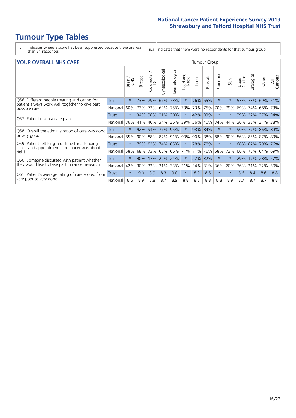# **Tumour Type Tables**

- \* Indicates where a score has been suppressed because there are less than 21 responses.
- n.a. Indicates that there were no respondents for that tumour group.

#### **YOUR OVERALL NHS CARE** THE TWO CONTROLLER THE THE THEORY OF THE THEORY OF THE TUMOUR Group

|                                                                                                          |              | Brain   | Breast | olorectal.<br>LGT<br>Û | Gynaecological | Haematological | <b>Bad and</b><br>Neck<br>Head | Lung    | Prostate | arcoma<br>$\sqrt{ }$ | Skin     | Upper<br>Gastro | Urological | Other    | All<br>Cancers |
|----------------------------------------------------------------------------------------------------------|--------------|---------|--------|------------------------|----------------|----------------|--------------------------------|---------|----------|----------------------|----------|-----------------|------------|----------|----------------|
| Q56. Different people treating and caring for                                                            | <b>Trust</b> | $\star$ | 73%    | 79%                    | 67%            | 73%            | $\star$                        | 76%     | 65%      | $\star$              | $^\star$ | 57%             | 73%        | 69%      | 71%            |
| patient always work well together to give best<br>possible care                                          | National     | 60%     | 73%    | 73%                    | 69%            | 75%            | 73%                            | 73%     | 75%      | 70%                  | 79%      | 69%             | 74%        | 68%      | 73%            |
| Q57. Patient given a care plan                                                                           | Trust        | $\star$ | $34\%$ | 36%                    | 31% 30%        |                | $\star$                        | 42% 33% |          | $\star$              | $^\star$ | 39%             | 22%        | $ 37\% $ | 34%            |
|                                                                                                          | National     | 36%     | 41%    | 40%                    | 34%            | 36%            | 39%                            | 36%     | 40%      | 34%                  | 44%      | 36%             | 33%        | 31%      | 38%            |
| Q58. Overall the administration of care was good                                                         | Trust        | $\star$ | 92%    | 94%                    | 77% 95%        |                | $\star$                        | 93% 84% |          | $\ast$               | $^\star$ | 90%             | 77%        | 86% 89%  |                |
| or very good                                                                                             | National     | 85%     | $90\%$ | 88%                    | 87% 91%        |                | 90%                            | 90%     | 88%      | 88%                  | 90%      | 86%             | 85%        | 87% 89%  |                |
| Q59. Patient felt length of time for attending<br>clinics and appointments for cancer was about<br>right | Trust        | $\star$ |        | 79% 82%                | 74% 65%        |                | $\star$                        | 78% 78% |          | $\star$              | $\star$  | 68% 67%         |            | 79%      | 76%            |
|                                                                                                          | National     | 58%     | 68%    | 73%                    | 66%            | 66%            | 71%                            | 71%     | 76%      | 68%                  | 73%      | 66%             | 75%        | 64%      | 69%            |
| Q60. Someone discussed with patient whether                                                              | Trust        | $\star$ | 40%    | 17%                    | 29%            | 24%            | $\star$                        | 22%     | 32%      | $\star$              | $\star$  | 29%             | 17%        | 28%      | 27%            |
| they would like to take part in cancer research                                                          | National     | 42%     | 30%    | 32%                    | 31%            | 33%            | 21%                            | 34%     | 31%      | 36%                  | 20%      | 36%             | 21%        | 32%      | 30%            |
| Q61. Patient's average rating of care scored from<br>very poor to very good                              | Trust        | $\star$ | 9.0    | 8.9                    | 8.3            | 9.0            | $\star$                        | 8.9     | 8.5      | $\star$              | $\star$  | 8.6             | 8.4        | 8.6      | 8.8            |
|                                                                                                          | National     | 8.6     | 8.9    | 8.8                    | 8.7            | 8.9            | 8.8                            | 8.8     | 8.8      | 8.8                  | 8.9      | 8.7             | 8.7        | 8.7      | 8.8            |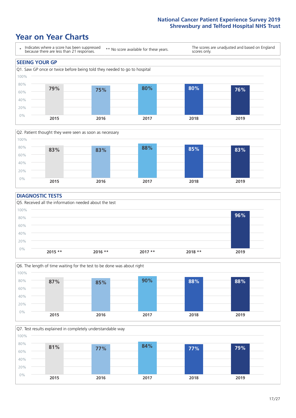### **Year on Year Charts**





#### **DIAGNOSTIC TESTS**





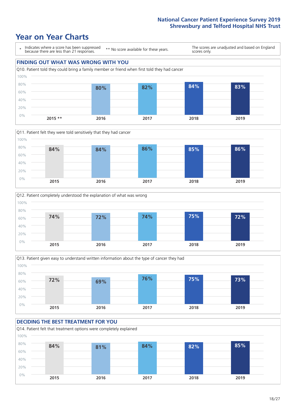## **Year on Year Charts**









#### **DECIDING THE BEST TREATMENT FOR YOU** Q14. Patient felt that treatment options were completely explained 0% 20% 40% 60% 80% 100% **2015 2016 2017 2018 2019 84% 81% 84% 82% 85%**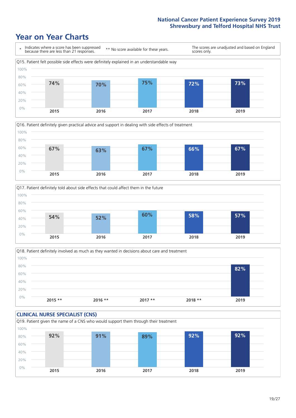





Q18. Patient definitely involved as much as they wanted in decisions about care and treatment  $0%$ 20% 40% 60% 80% 100% **2015 \*\* 2016 \*\* 2017 \*\* 2018 \*\* 2019 82%**

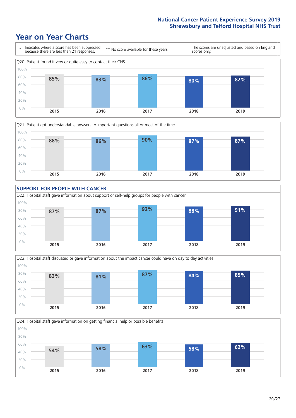







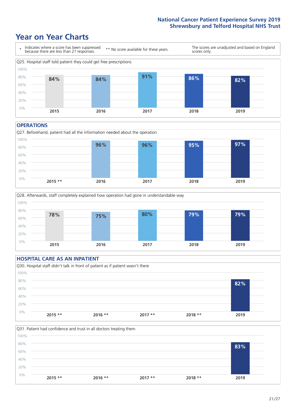### **Year on Year Charts**



#### **OPERATIONS**

Q27. Beforehand, patient had all the information needed about the operation  $0%$ 20% 40% 60% 80% 100% **2015 \*\* 2016 2017 2018 2019 96% 96% 95% 97%**



#### **HOSPITAL CARE AS AN INPATIENT** Q30. Hospital staff didn't talk in front of patient as if patient wasn't there 0% 20% 40% 60% 80% 100% **2015 \*\* 2016 \*\* 2017 \*\* 2018 \*\* 2019 82%**

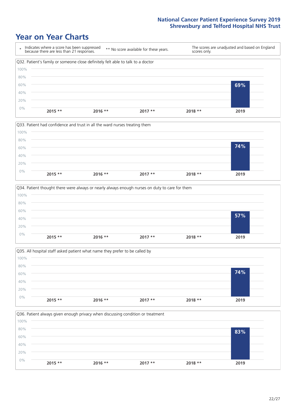







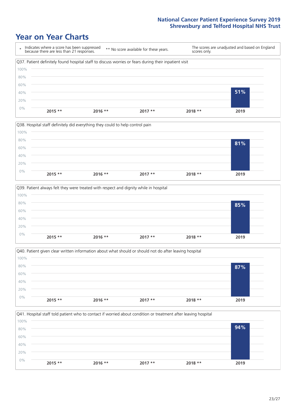







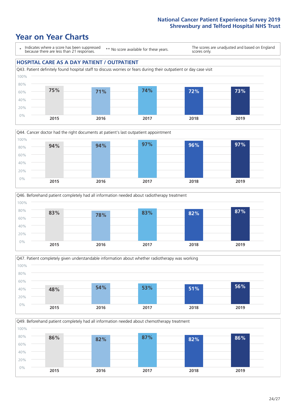







Q49. Beforehand patient completely had all information needed about chemotherapy treatment

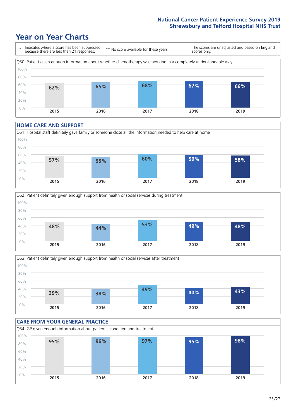### **Year on Year Charts**



#### **HOME CARE AND SUPPORT**







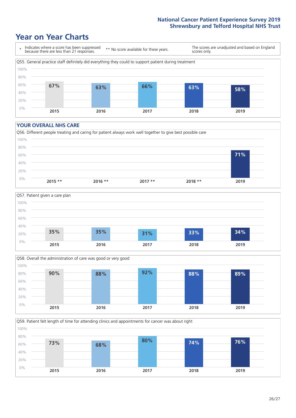### **Year on Year Charts**



#### **YOUR OVERALL NHS CARE**







Q59. Patient felt length of time for attending clinics and appointments for cancer was about right